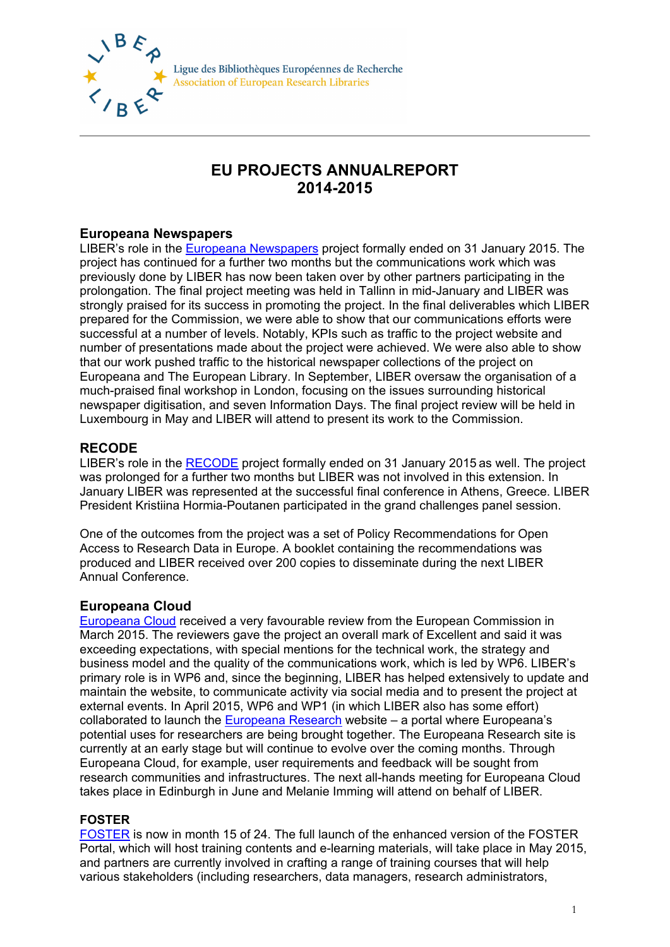

Ligue des Bibliothèques Européennes de Recherche **Association of European Research Libraries** 

# **EU PROJECTS ANNUALREPORT 2014-2015**

# **Europeana Newspapers**

LIBER's role in the [Europeana Newspapers](http://www.europeana-newspapers.eu/) project formally ended on 31 January 2015. The project has continued for a further two months but the communications work which was previously done by LIBER has now been taken over by other partners participating in the prolongation. The final project meeting was held in Tallinn in mid-January and LIBER was strongly praised for its success in promoting the project. In the final deliverables which LIBER prepared for the Commission, we were able to show that our communications efforts were successful at a number of levels. Notably, KPIs such as traffic to the project website and number of presentations made about the project were achieved. We were also able to show that our work pushed traffic to the historical newspaper collections of the project on Europeana and The European Library. In September, LIBER oversaw the organisation of a much-praised final workshop in London, focusing on the issues surrounding historical newspaper digitisation, and seven Information Days. The final project review will be held in Luxembourg in May and LIBER will attend to present its work to the Commission.

# **RECODE**

LIBER's role in the [RECODE](http://recodeproject.eu/) project formally ended on 31 January 2015 as well. The project was prolonged for a further two months but LIBER was not involved in this extension. In January LIBER was represented at the successful final conference in Athens, Greece. LIBER President Kristiina Hormia-Poutanen participated in the grand challenges panel session.

One of the outcomes from the project was a set of Policy Recommendations for Open Access to Research Data in Europe. A booklet containing the recommendations was produced and LIBER received over 200 copies to disseminate during the next LIBER Annual Conference.

## **Europeana Cloud**

[Europeana Cloud](http://pro.europeana.eu/get-involved/projects/project-list/europeana-cloud) received a very favourable review from the European Commission in March 2015. The reviewers gave the project an overall mark of Excellent and said it was exceeding expectations, with special mentions for the technical work, the strategy and business model and the quality of the communications work, which is led by WP6. LIBER's primary role is in WP6 and, since the beginning, LIBER has helped extensively to update and maintain the website, to communicate activity via social media and to present the project at external events. In April 2015, WP6 and WP1 (in which LIBER also has some effort) collaborated to launch the [Europeana Research](http://research.europeana.eu/) website – a portal where Europeana's potential uses for researchers are being brought together. The Europeana Research site is currently at an early stage but will continue to evolve over the coming months. Through Europeana Cloud, for example, user requirements and feedback will be sought from research communities and infrastructures. The next all-hands meeting for Europeana Cloud takes place in Edinburgh in June and Melanie Imming will attend on behalf of LIBER.

## **FOSTER**

[FOSTER](https://www.fosteropenscience.eu/) is now in month 15 of 24. The full launch of the enhanced version of the FOSTER Portal, which will host training contents and e-learning materials, will take place in May 2015, and partners are currently involved in crafting a range of training courses that will help various stakeholders (including researchers, data managers, research administrators,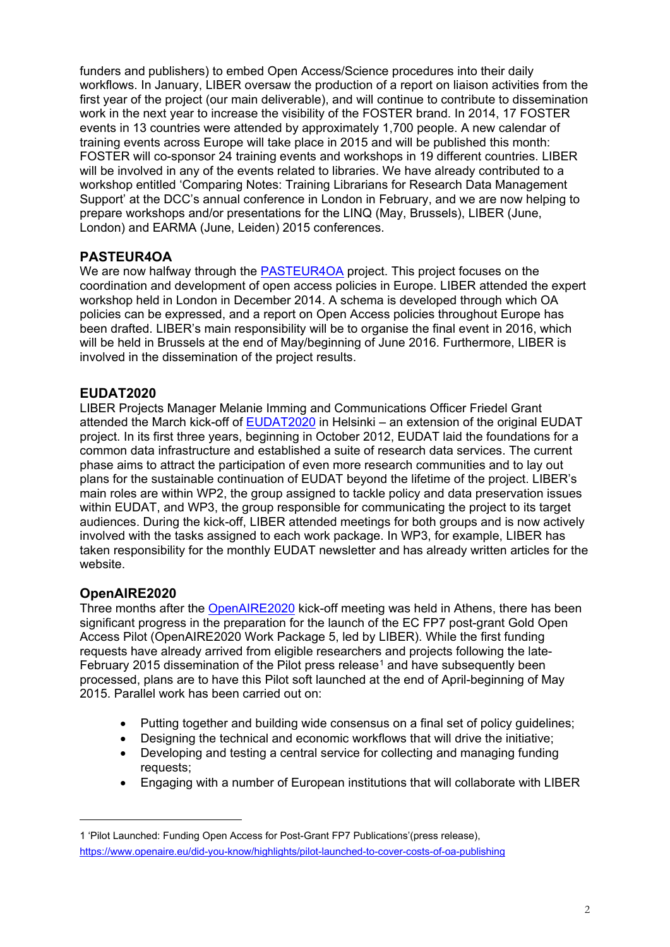funders and publishers) to embed Open Access/Science procedures into their daily workflows. In January, LIBER oversaw the production of a report on liaison activities from the first year of the project (our main deliverable), and will continue to contribute to dissemination work in the next year to increase the visibility of the FOSTER brand. In 2014, 17 FOSTER events in 13 countries were attended by approximately 1,700 people. A new calendar of training events across Europe will take place in 2015 and will be published this month: FOSTER will co-sponsor 24 training events and workshops in 19 different countries. LIBER will be involved in any of the events related to libraries. We have already contributed to a workshop entitled 'Comparing Notes: Training Librarians for Research Data Management Support' at the DCC's annual conference in London in February, and we are now helping to prepare workshops and/or presentations for the LINQ (May, Brussels), LIBER (June, London) and EARMA (June, Leiden) 2015 conferences.

#### **PASTEUR4OA**

We are now halfway through the [PASTEUR4OA](http://www.pasteur4oa.eu/) project. This project focuses on the coordination and development of open access policies in Europe. LIBER attended the expert workshop held in London in December 2014. A schema is developed through which OA policies can be expressed, and a report on Open Access policies throughout Europe has been drafted. LIBER's main responsibility will be to organise the final event in 2016, which will be held in Brussels at the end of May/beginning of June 2016. Furthermore, LIBER is involved in the dissemination of the project results.

## **EUDAT2020**

LIBER Projects Manager Melanie Imming and Communications Officer Friedel Grant attended the March kick-off of [EUDAT2020](http://www.eudat.eu/) in Helsinki – an extension of the original EUDAT project. In its first three years, beginning in October 2012, EUDAT laid the foundations for a common data infrastructure and established a suite of research data services. The current phase aims to attract the participation of even more research communities and to lay out plans for the sustainable continuation of EUDAT beyond the lifetime of the project. LIBER's main roles are within WP2, the group assigned to tackle policy and data preservation issues within EUDAT, and WP3, the group responsible for communicating the project to its target audiences. During the kick-off, LIBER attended meetings for both groups and is now actively involved with the tasks assigned to each work package. In WP3, for example, LIBER has taken responsibility for the monthly EUDAT newsletter and has already written articles for the website.

#### **OpenAIRE2020**

Three months after the [OpenAIRE2020](https://www.openaire.eu/) kick-off meeting was held in Athens, there has been significant progress in the preparation for the launch of the EC FP7 post-grant Gold Open Access Pilot (OpenAIRE2020 Work Package 5, led by LIBER). While the first funding requests have already arrived from eligible researchers and projects following the late-February 20[1](#page-1-0)5 dissemination of the Pilot press release<sup>1</sup> and have subsequently been processed, plans are to have this Pilot soft launched at the end of April-beginning of May 2015. Parallel work has been carried out on:

- Putting together and building wide consensus on a final set of policy guidelines;
- Designing the technical and economic workflows that will drive the initiative:
- Developing and testing a central service for collecting and managing funding requests;
- Engaging with a number of European institutions that will collaborate with LIBER

<span id="page-1-0"></span><sup>1</sup> 'Pilot Launched: Funding Open Access for Post-Grant FP7 Publications'(press release), <https://www.openaire.eu/did-you-know/highlights/pilot-launched-to-cover-costs-of-oa-publishing>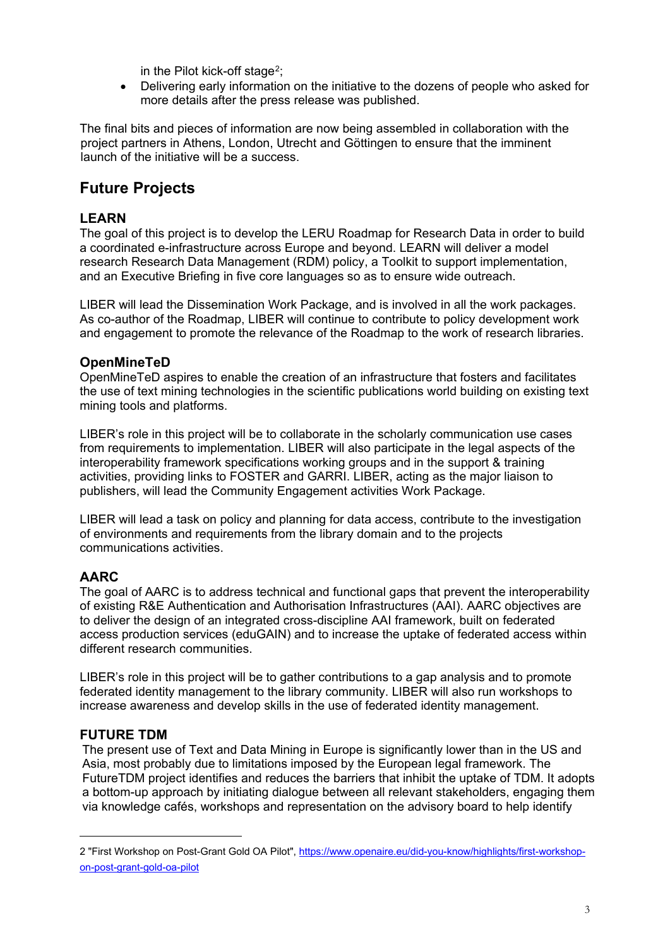in the Pilot kick-off stage<sup>2</sup>:

• Delivering early information on the initiative to the dozens of people who asked for more details after the press release was published.

The final bits and pieces of information are now being assembled in collaboration with the project partners in Athens, London, Utrecht and Göttingen to ensure that the imminent launch of the initiative will be a success.

# **Future Projects**

## **LEARN**

The goal of this project is to develop the LERU Roadmap for Research Data in order to build a coordinated e-infrastructure across Europe and beyond. LEARN will deliver a model research Research Data Management (RDM) policy, a Toolkit to support implementation, and an Executive Briefing in five core languages so as to ensure wide outreach.

LIBER will lead the Dissemination Work Package, and is involved in all the work packages. As co-author of the Roadmap, LIBER will continue to contribute to policy development work and engagement to promote the relevance of the Roadmap to the work of research libraries.

# **OpenMineTeD**

OpenMineTeD aspires to enable the creation of an infrastructure that fosters and facilitates the use of text mining technologies in the scientific publications world building on existing text mining tools and platforms.

LIBER's role in this project will be to collaborate in the scholarly communication use cases from requirements to implementation. LIBER will also participate in the legal aspects of the interoperability framework specifications working groups and in the support & training activities, providing links to FOSTER and GARRI. LIBER, acting as the major liaison to publishers, will lead the Community Engagement activities Work Package.

LIBER will lead a task on policy and planning for data access, contribute to the investigation of environments and requirements from the library domain and to the projects communications activities.

## **AARC**

The goal of AARC is to address technical and functional gaps that prevent the interoperability of existing R&E Authentication and Authorisation Infrastructures (AAI). AARC objectives are to deliver the design of an integrated cross-discipline AAI framework, built on federated access production services (eduGAIN) and to increase the uptake of federated access within different research communities.

LIBER's role in this project will be to gather contributions to a gap analysis and to promote federated identity management to the library community. LIBER will also run workshops to increase awareness and develop skills in the use of federated identity management.

## **FUTURE TDM**

The present use of Text and Data Mining in Europe is significantly lower than in the US and Asia, most probably due to limitations imposed by the European legal framework. The FutureTDM project identifies and reduces the barriers that inhibit the uptake of TDM. It adopts a bottom-up approach by initiating dialogue between all relevant stakeholders, engaging them via knowledge cafés, workshops and representation on the advisory board to help identify

<span id="page-2-0"></span><sup>2 &</sup>quot;First Workshop on Post-Grant Gold OA Pilot", [https://www.openaire.eu/did-you-know/highlights/first-workshop](https://www.openaire.eu/did-you-know/highlights/first-workshop-on-post-grant-gold-oa-pilot)[on-post-grant-gold-oa-pilot](https://www.openaire.eu/did-you-know/highlights/first-workshop-on-post-grant-gold-oa-pilot)